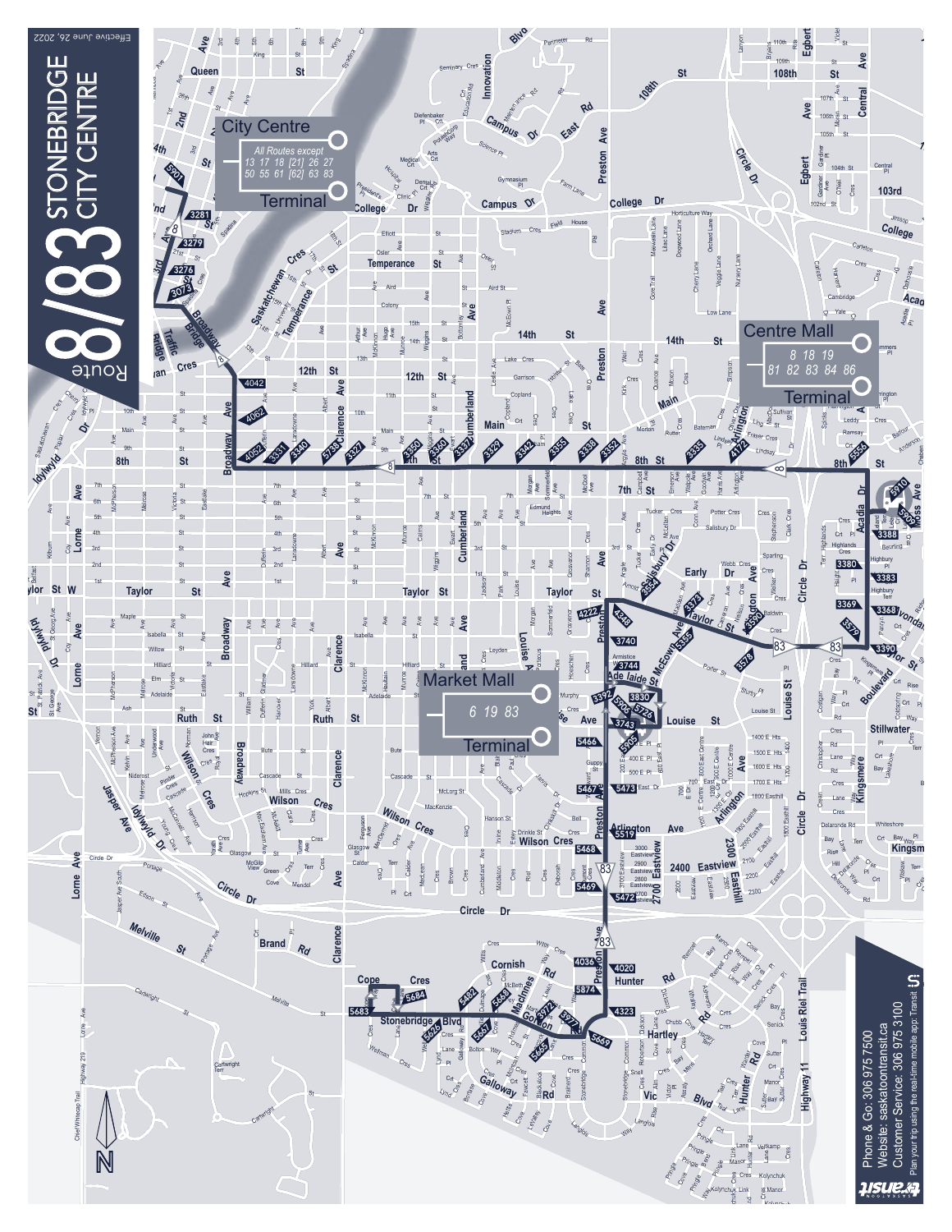